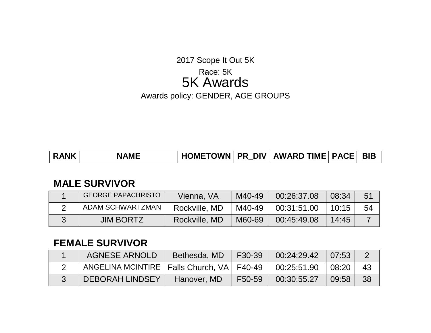### 2017 Scope It Out 5K

# Race: 5K 5K Awards

Awards policy: GENDER, AGE GROUPS

| <b>RANK</b> | <b>NAME</b> |  |  | HOMETOWN   PR DIV   AWARD TIME   PACE   BIB |  |  |
|-------------|-------------|--|--|---------------------------------------------|--|--|
|-------------|-------------|--|--|---------------------------------------------|--|--|

### **MALE SURVIVOR**

| <b>GEORGE PAPACHRISTO</b> | Vienna, VA    | M40-49 | 00:26:37.08 | 08:34 | 51 |
|---------------------------|---------------|--------|-------------|-------|----|
| ADAM SCHWARTZMAN          | Rockville, MD | M40-49 | 00:31:51.00 | 10:15 | 54 |
| <b>JIM BORTZ</b>          | Rockville, MD | M60-69 | 00:45:49.08 | 14:45 |    |

# **FEMALE SURVIVOR**

| <b>AGNESE ARNOLD</b>                          | Bethesda, MD | F30-39 | 00:24:29.42 | 07:53 |    |
|-----------------------------------------------|--------------|--------|-------------|-------|----|
| ANGELINA MCINTIRE   Falls Church, VA   F40-49 |              |        | 00:25:51.90 | 08:20 | 43 |
| DEBORAH LINDSEY                               | Hanover, MD  | F50-59 | 00:30:55.27 | 09:58 | 38 |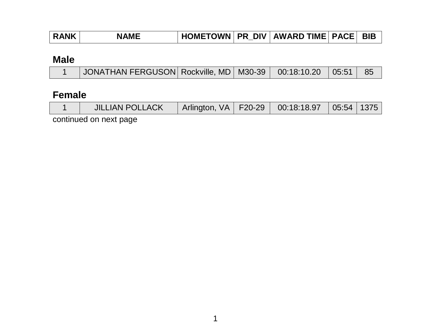| HOMETOWN   PR_DIV   AWARD TIME   PACE   BIB<br><b>RANK</b><br><b>NAME</b> |  |
|---------------------------------------------------------------------------|--|
|---------------------------------------------------------------------------|--|

# **Male**

| JONATHAN FERGUSON   Rockville, MD   M30-39   00:18:10.20   05:51   85 |  |
|-----------------------------------------------------------------------|--|
|-----------------------------------------------------------------------|--|

# **Female**

|  |  | <b>JILLIAN POLLACK</b> |  |  | Arlington, VA   F20-29   00:18:18.97   05:54   1375 |  |  |
|--|--|------------------------|--|--|-----------------------------------------------------|--|--|
|--|--|------------------------|--|--|-----------------------------------------------------|--|--|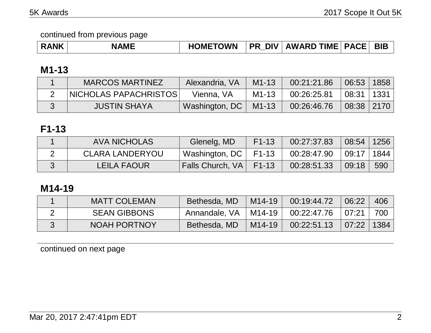| <b>NAMF</b><br><b>RANK</b> | <b>HOMETOWN</b> |  | <b>PR DIV AWARD TIME PACE BIB</b> |  |  |
|----------------------------|-----------------|--|-----------------------------------|--|--|
|----------------------------|-----------------|--|-----------------------------------|--|--|

# **M1-13**

| <b>MARCOS MARTINEZ</b>  | Alexandria, VA             | $M1 - 13$ | 00:21:21.86 | 06:53          | 1858 |
|-------------------------|----------------------------|-----------|-------------|----------------|------|
| NICHOLAS PAPACHRISTOS I | Vienna, VA                 | M1-13     | 00:26:25.81 | 08:31          | 1331 |
| <b>JUSTIN SHAYA</b>     | Washington, $DC \parallel$ | $M1 - 13$ | 00:26:46.76 | $08:38$   2170 |      |

# **F1-13**

| <b>AVA NICHOLAS</b>    | Glenelg, MD             | $F1-13$   | 00:27:37.83 | $08:54$   1256             |     |
|------------------------|-------------------------|-----------|-------------|----------------------------|-----|
| <b>CLARA LANDERYOU</b> | Washington, DC          | F1-13     | 00:28:47.90 | $\vert$ 09:17 $\vert$ 1844 |     |
| LEILA FAOUR            | <b>Falls Church, VA</b> | $F1 - 13$ | 00:28:51.33 | 09:18                      | 590 |

# **M14-19**

| <b>MATT COLEMAN</b> | Bethesda, MD  | M14-19 | 00:19:44.72 | 06:22          | 406 |
|---------------------|---------------|--------|-------------|----------------|-----|
| <b>SEAN GIBBONS</b> | Annandale, VA | M14-19 | 00:22:47.76 | 07:21          | 700 |
| <b>NOAH PORTNOY</b> | Bethesda, MD  | M14-19 | 00:22:51.13 | $07:22$   1384 |     |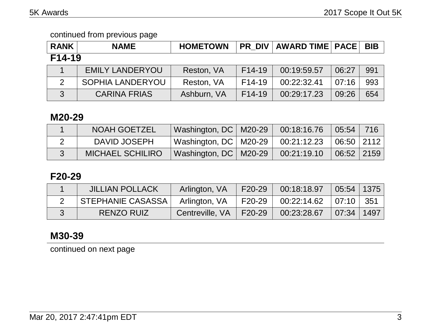| <b>RANK</b> | <b>NAME</b>             | <b>HOMETOWN</b> | <b>PR DIV</b>       | <b>AWARD TIME   PACE  </b> |       | <b>BIB</b> |
|-------------|-------------------------|-----------------|---------------------|----------------------------|-------|------------|
| F14-19      |                         |                 |                     |                            |       |            |
|             | <b>EMILY LANDERYOU</b>  | Reston, VA      | F14-19              | 00:19:59.57                | 06:27 | 991        |
| 2           | <b>SOPHIA LANDERYOU</b> | Reston, VA      | F <sub>14</sub> -19 | 00:22:32.41                | 07:16 | 993        |
| 3           | <b>CARINA FRIAS</b>     | Ashburn, VA     | $F14-19$            | 00:29:17.23                | 09:26 | 654        |

### **M20-29**

| <b>NOAH GOETZEL</b>     | Washington, DC   M20-29 | 00:18:16.76                               | 05:54 716  |  |
|-------------------------|-------------------------|-------------------------------------------|------------|--|
| DAVID JOSEPH            | Washington, DC   M20-29 | $00:21:12.23$ $\mid 06:50 \mid 2112 \mid$ |            |  |
| <b>MICHAEL SCHILIRO</b> | Washington, DC   M20-29 | 00:21:19.10                               | 06:52 2159 |  |

# **F20-29**

| <b>JILLIAN POLLACK</b> | Arlington, VA   | F20-29        | 00:18:18.97             | $\mid$ 05:54 $\mid$ 1375 $\mid$ |  |
|------------------------|-----------------|---------------|-------------------------|---------------------------------|--|
| STEPHANIE CASASSA      | Arlington, VA   | F20-29        | $00:22:14.62$ 07:10 351 |                                 |  |
| <b>RENZO RUIZ</b>      | Centreville, VA | $\mid$ F20-29 | 00:23:28.67             | 07:34   1497                    |  |

# **M30-39**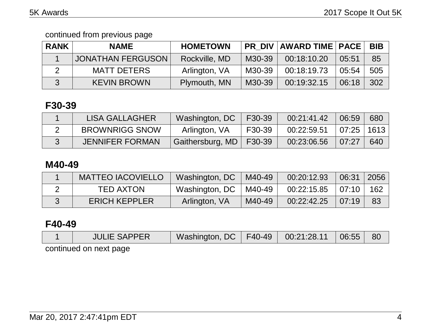| <b>RANK</b>   | <b>NAME</b>        | <b>HOMETOWN</b> |        | <b>PR DIV AWARD TIME PACE</b> |       | <b>BIB</b> |
|---------------|--------------------|-----------------|--------|-------------------------------|-------|------------|
|               | JONATHAN FERGUSON  | Rockville, MD   | M30-39 | 00:18:10.20                   | 05:51 | 85         |
| $\mathcal{P}$ | <b>MATT DETERS</b> | Arlington, VA   | M30-39 | 00:18:19.73                   | 05:54 | 505        |
| $\mathbf{3}$  | <b>KEVIN BROWN</b> | Plymouth, MN    | M30-39 | 00:19:32.15                   | 06:18 | 302        |

# **F30-39**

| LISA GALLAGHER         | Washington, DC            | F30-39 | 00:21:41.42 | 06:59        | 680 |
|------------------------|---------------------------|--------|-------------|--------------|-----|
| <b>BROWNRIGG SNOW</b>  | Arlington, VA             | F30-39 | 00:22:59.51 | 07:25   1613 |     |
| <b>JENNIFER FORMAN</b> | Gaithersburg, MD   F30-39 |        | 00:23:06.56 | 07:27        | 640 |

### **M40-49**

| <b>MATTEO IACOVIELLO</b> | Washington, DC | M40-49 | 00:20:12.93           | 06:31 2056    |     |
|--------------------------|----------------|--------|-----------------------|---------------|-----|
| <b>TED AXTON</b>         | Washington, DC | M40-49 | $00:22:15.85$   07:10 |               | 162 |
| <b>ERICH KEPPLER</b>     | Arlington, VA  | M40-49 | 00:22:42.25           | $\vert$ 07:19 | 83  |

# **F40-49**

| <b>JULIE SAPPER</b>    | Washington, DC   F40-49   00:21:28.11   06:55 |  | 80 |
|------------------------|-----------------------------------------------|--|----|
| continued on next page |                                               |  |    |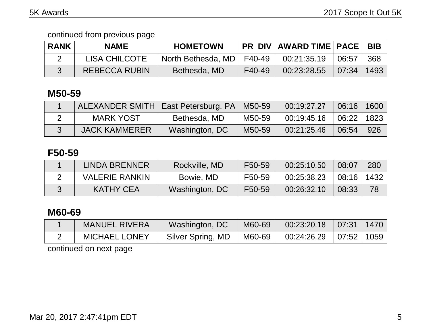| <b>RANK</b> | <b>NAME</b>          | <b>HOMETOWN</b>             |        | <b>PR DIV AWARD TIME PACE</b> |       | <b>BIB</b> |
|-------------|----------------------|-----------------------------|--------|-------------------------------|-------|------------|
|             | <b>LISA CHILCOTE</b> | North Bethesda, MD   F40-49 |        | 00:21:35.19                   | 06:57 | 368        |
|             | <b>REBECCA RUBIN</b> | Bethesda, MD                | F40-49 | 00:23:28.55                   | 07:34 | 1493       |

# **M50-59**

| ALEXANDER SMITH   East Petersburg, PA   M50-59 |                |        | 00:19:27.27 | 06:16 1600 |     |
|------------------------------------------------|----------------|--------|-------------|------------|-----|
| <b>MARK YOST</b>                               | Bethesda, MD   | M50-59 | 00:19:45.16 | 06:22 1823 |     |
| <b>JACK KAMMERER</b>                           | Washington, DC | M50-59 | 00:21:25.46 | 06:54      | 926 |

# **F50-59**

| LINDA BRENNER         | Rockville, MD  | F50-59 | 00:25:10.50 | 08:07          | 280 |
|-----------------------|----------------|--------|-------------|----------------|-----|
| <b>VALERIE RANKIN</b> | Bowie, MD      | F50-59 | 00:25:38.23 | $08:16$   1432 |     |
| <b>KATHY CEA</b>      | Washington, DC | F50-59 | 00:26:32.10 | 08:33          | 78  |

# **M60-69**

| <b>MANUEL RIVERA</b> | Washington, DC    | M60-69 | 00:23:20.18 | 07:31 1470 |  |
|----------------------|-------------------|--------|-------------|------------|--|
| <b>MICHAEL LONEY</b> | Silver Spring, MD | M60-69 | 00:24:26.29 | 07:52 1059 |  |